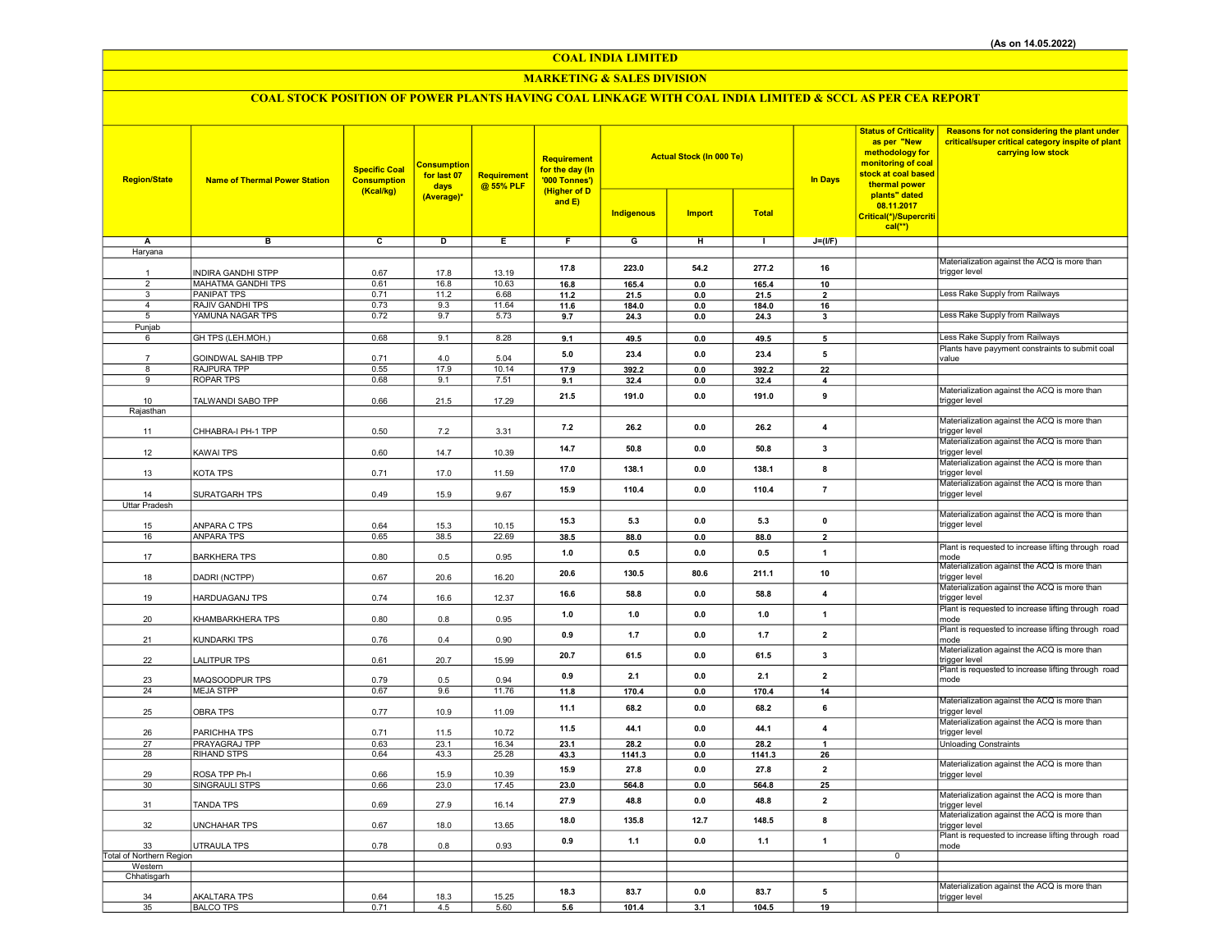## COAL INDIA LIMITED

## MARKETING & SALES DIVISION

# COAL STOCK POSITION OF POWER PLANTS HAVING COAL LINKAGE WITH COAL INDIA LIMITED & SCCL AS PER CEA REPORT

| <b>Region/State</b>                 | <b>Name of Thermal Power Station</b> | <b>Specific Coal</b><br><b>Consumption</b><br>(Kcal/kg) | <b>Consumption</b><br>for last 07<br>days<br>(Average)* | <b>Requirement</b><br>@ 55% PLF | Requirement<br>for the day (In<br>'000 Tonnes')<br>(Higher of D<br>and $E$ ) | <b>Actual Stock (In 000 Te)</b><br><b>Indigenous</b><br><b>Import</b><br><b>Total</b> |                |                | <b>In Days</b>          | <b>Status of Criticality</b><br>as per "New<br>methodology for<br>monitoring of coal<br>stock at coal based<br>thermal power<br>plants" dated<br>08.11.2017<br>Critical(*)/Supercriti | Reasons for not considering the plant under<br>critical/super critical category inspite of plant<br>carrying low stock |
|-------------------------------------|--------------------------------------|---------------------------------------------------------|---------------------------------------------------------|---------------------------------|------------------------------------------------------------------------------|---------------------------------------------------------------------------------------|----------------|----------------|-------------------------|---------------------------------------------------------------------------------------------------------------------------------------------------------------------------------------|------------------------------------------------------------------------------------------------------------------------|
|                                     |                                      |                                                         |                                                         |                                 |                                                                              |                                                                                       |                |                |                         | $cal(**)$                                                                                                                                                                             |                                                                                                                        |
| Α                                   | в                                    | c                                                       | D                                                       | Ε                               | F                                                                            | G                                                                                     | н              | $\mathbf{L}$   | $J=(I/F)$               |                                                                                                                                                                                       |                                                                                                                        |
| Haryana                             |                                      |                                                         |                                                         |                                 |                                                                              |                                                                                       |                |                |                         |                                                                                                                                                                                       | Materialization against the ACQ is more than                                                                           |
| $\mathbf{1}$                        | <b>INDIRA GANDHI STPP</b>            | 0.67                                                    | 17.8                                                    | 13.19                           | 17.8                                                                         | 223.0                                                                                 | 54.2           | 277.2          | 16                      |                                                                                                                                                                                       | trigger level                                                                                                          |
| $\overline{2}$                      | <b>MAHATMA GANDHI TPS</b>            | 0.61                                                    | 16.8                                                    | 10.63                           | 16.8                                                                         | 165.4                                                                                 | $\mathbf{0.0}$ | 165.4          | 10                      |                                                                                                                                                                                       |                                                                                                                        |
| $\overline{3}$                      | <b>PANIPAT TPS</b>                   | 0.71                                                    | 11.2                                                    | 6.68                            | 11.2                                                                         | 21.5                                                                                  | 0.0            | 21.5           | $\overline{2}$          |                                                                                                                                                                                       | Less Rake Supply from Railways                                                                                         |
| $\overline{4}$                      | RAJIV GANDHI TPS                     | 0.73                                                    | 9.3                                                     | 11.64                           | 11.6                                                                         | 184.0                                                                                 | 0.0            | 184.0          | 16                      |                                                                                                                                                                                       |                                                                                                                        |
| 5                                   | YAMUNA NAGAR TPS                     | 0.72                                                    | 9.7                                                     | 5.73                            | 9.7                                                                          | 24.3                                                                                  | 0.0            | 24.3           | 3                       |                                                                                                                                                                                       | Less Rake Supply from Railways                                                                                         |
| Punjab                              |                                      |                                                         |                                                         |                                 |                                                                              |                                                                                       |                |                |                         |                                                                                                                                                                                       | Less Rake Supply from Railways                                                                                         |
| 6                                   | GH TPS (LEH.MOH.)                    | 0.68                                                    | 9.1                                                     | 8.28                            | 9.1                                                                          | 49.5                                                                                  | $\mathbf{0.0}$ | 49.5           | 5                       |                                                                                                                                                                                       | Plants have payyment constraints to submit coal                                                                        |
|                                     | GOINDWAL SAHIB TPP                   | 0.71                                                    | 4.0                                                     | 5.04                            | 5.0                                                                          | 23.4                                                                                  | 0.0            | 23.4           | 5                       |                                                                                                                                                                                       | value                                                                                                                  |
| 8                                   | RAJPURA TPP                          | 0.55                                                    | 17.9                                                    | 10.14                           | 17.9                                                                         | 392.2                                                                                 | 0.0            | 392.2          | 22                      |                                                                                                                                                                                       |                                                                                                                        |
| 9                                   | <b>ROPAR TPS</b>                     | 0.68                                                    | 9.1                                                     | 7.51                            | 9.1                                                                          | 32.4                                                                                  | 0.0            | 32.4           | $\overline{4}$          |                                                                                                                                                                                       |                                                                                                                        |
|                                     |                                      |                                                         |                                                         |                                 | 21.5                                                                         | 191.0                                                                                 | 0.0            | 191.0          | 9                       |                                                                                                                                                                                       | Materialization against the ACQ is more than                                                                           |
| 10<br>Rajasthan                     | TALWANDI SABO TPP                    | 0.66                                                    | 21.5                                                    | 17.29                           |                                                                              |                                                                                       |                |                |                         |                                                                                                                                                                                       | trigger level                                                                                                          |
| 11                                  | CHHABRA-I PH-1 TPP                   | 0.50                                                    | 7.2                                                     | 3.31                            | 7.2                                                                          | 26.2                                                                                  | 0.0            | 26.2           | 4                       |                                                                                                                                                                                       | Materialization against the ACQ is more than<br>trigger level                                                          |
| 12                                  | <b>KAWAI TPS</b>                     | 0.60                                                    | 14.7                                                    | 10.39                           | 14.7                                                                         | 50.8                                                                                  | 0.0            | 50.8           | 3                       |                                                                                                                                                                                       | Materialization against the ACQ is more than<br>trigger level                                                          |
| 13                                  | KOTA TPS                             | 0.71                                                    | 17.0                                                    | 11.59                           | 17.0                                                                         | 138.1                                                                                 | $0.0\,$        | 138.1          | 8                       |                                                                                                                                                                                       | Materialization against the ACQ is more than<br>trigger level                                                          |
|                                     |                                      |                                                         |                                                         |                                 | 15.9                                                                         | 110.4                                                                                 | 0.0            | 110.4          | $\overline{7}$          |                                                                                                                                                                                       | Materialization against the ACQ is more than                                                                           |
| 14                                  | SURATGARH TPS                        | 0.49                                                    | 15.9                                                    | 9.67                            |                                                                              |                                                                                       |                |                |                         |                                                                                                                                                                                       | trigger level                                                                                                          |
| <b>Uttar Pradesh</b>                |                                      |                                                         |                                                         |                                 |                                                                              |                                                                                       |                |                |                         |                                                                                                                                                                                       | Materialization against the ACQ is more than                                                                           |
| 15                                  | ANPARA C TPS                         | 0.64                                                    | 15.3                                                    | 10.15                           | 15.3                                                                         | 5.3                                                                                   | 0.0            | 5.3            | $\mathbf 0$             |                                                                                                                                                                                       | trigger level                                                                                                          |
| 16                                  | <b>ANPARA TPS</b>                    | 0.65                                                    | 38.5                                                    | 22.69                           | 38.5                                                                         | 88.0                                                                                  | $0.0\,$        | 88.0           | $\overline{2}$          |                                                                                                                                                                                       |                                                                                                                        |
| 17                                  | <b>BARKHERA TPS</b>                  | 0.80                                                    | 0.5                                                     | 0.95                            | 1.0                                                                          | 0.5                                                                                   | 0.0            | 0.5            | $\mathbf{1}$            |                                                                                                                                                                                       | Plant is requested to increase lifting through road<br>mode                                                            |
| 18                                  | DADRI (NCTPP)                        | 0.67                                                    | 20.6                                                    | 16.20                           | 20.6                                                                         | 130.5                                                                                 | 80.6           | 211.1          | 10                      |                                                                                                                                                                                       | Materialization against the ACQ is more than<br>trigger level                                                          |
| 19                                  | <b>HARDUAGANJ TPS</b>                | 0.74                                                    | 16.6                                                    | 12.37                           | 16.6                                                                         | 58.8                                                                                  | 0.0            | 58.8           | $\overline{\mathbf{4}}$ |                                                                                                                                                                                       | Materialization against the ACQ is more than<br>trigger level                                                          |
| 20                                  | KHAMBARKHERA TPS                     | 0.80                                                    | 0.8                                                     | 0.95                            | 1.0                                                                          | 1.0                                                                                   | 0.0            | 1.0            | $\overline{1}$          |                                                                                                                                                                                       | Plant is requested to increase lifting through road<br>mode<br>Plant is requested to increase lifting through road     |
| 21                                  | KUNDARKI TPS                         | 0.76                                                    | 0.4                                                     | 0.90                            | 0.9                                                                          | $1.7$                                                                                 | 0.0            | 1.7            | $\overline{\mathbf{2}}$ |                                                                                                                                                                                       | mode<br>Materialization against the ACQ is more than                                                                   |
| 22                                  | <b>LALITPUR TPS</b>                  | 0.61                                                    | 20.7                                                    | 15.99                           | 20.7                                                                         | 61.5                                                                                  | 0.0            | 61.5           | 3                       |                                                                                                                                                                                       | trigger level                                                                                                          |
| 23                                  | MAQSOODPUR TPS                       | 0.79                                                    | 0.5                                                     | 0.94                            | 0.9                                                                          | 2.1                                                                                   | 0.0            | 2.1            | $\overline{\mathbf{2}}$ |                                                                                                                                                                                       | Plant is requested to increase lifting through road<br>mode                                                            |
| 24                                  | <b>MEJA STPP</b>                     | 0.67                                                    | 9.6                                                     | 11.76                           | 11.8                                                                         | 170.4                                                                                 | 0.0            | 170.4          | 14                      |                                                                                                                                                                                       |                                                                                                                        |
| 25                                  | <b>OBRA TPS</b>                      | 0.77                                                    | 10.9                                                    | 11.09                           | 11.1                                                                         | 68.2                                                                                  | 0.0            | 68.2           | 6                       |                                                                                                                                                                                       | Materialization against the ACQ is more than<br>trigger level                                                          |
| 26                                  | PARICHHA TPS                         | 0.71                                                    | 11.5                                                    | 10.72                           | 11.5                                                                         | 44.1                                                                                  | 0.0            | 44.1           | $\overline{4}$          |                                                                                                                                                                                       | Materialization against the ACQ is more than<br>trigger level                                                          |
| 27<br>28                            | PRAYAGRAJ TPP<br>RIHAND STPS         | 0.63<br>0.64                                            | 23.1<br>43.3                                            | 16.34<br>25.28                  | 23.1                                                                         | 28.2<br>1141.3                                                                        | 0.0            | 28.2<br>1141.3 |                         |                                                                                                                                                                                       | <b>Unloading Constraints</b>                                                                                           |
|                                     |                                      |                                                         |                                                         |                                 | 43.3                                                                         |                                                                                       | 0.0            |                | 26                      |                                                                                                                                                                                       | Materialization against the ACQ is more than                                                                           |
| 29                                  | ROSA TPP Ph-I                        | 0.66                                                    | 15.9                                                    | 10.39                           | 15.9                                                                         | 27.8                                                                                  | 0.0            | 27.8           | $\overline{2}$          |                                                                                                                                                                                       | trigger level                                                                                                          |
| 30                                  | SINGRAULI STPS                       | 0.66                                                    | 23.0                                                    | 17.45                           | 23.0                                                                         | 564.8                                                                                 | $0.0\,$        | 564.8          | 25                      |                                                                                                                                                                                       |                                                                                                                        |
| 31                                  | <b>TANDA TPS</b>                     | 0.69                                                    | 27.9                                                    | 16.14                           | 27.9                                                                         | 48.8                                                                                  | 0.0            | 48.8           | $\overline{2}$          |                                                                                                                                                                                       | Materialization against the ACQ is more than<br>trigger level                                                          |
| 32                                  | <b>UNCHAHAR TPS</b>                  | 0.67                                                    | 18.0                                                    | 13.65                           | 18.0                                                                         | 135.8                                                                                 | 12.7           | 148.5          | 8                       |                                                                                                                                                                                       | Materialization against the ACQ is more than<br>trigger level                                                          |
| 33                                  | <b>UTRAULA TPS</b>                   | 0.78                                                    | 0.8                                                     | 0.93                            | 0.9                                                                          | 1.1                                                                                   | 0.0            | 1.1            | $\overline{1}$          |                                                                                                                                                                                       | Plant is requested to increase lifting through road<br>mode                                                            |
| Total of Northern Region<br>Western |                                      |                                                         |                                                         |                                 |                                                                              |                                                                                       |                |                |                         | $\overline{0}$                                                                                                                                                                        |                                                                                                                        |
| Chhatisgarh                         |                                      |                                                         |                                                         |                                 |                                                                              |                                                                                       |                |                |                         |                                                                                                                                                                                       |                                                                                                                        |
| 34                                  | <b>AKALTARA TPS</b>                  | 0.64                                                    | 18.3                                                    | 15.25                           | 18.3                                                                         | 83.7                                                                                  | 0.0            | 83.7           | 5                       |                                                                                                                                                                                       | Materialization against the ACQ is more than<br>trigger level                                                          |
| 35                                  | <b>BALCO TPS</b>                     | 0.71                                                    | 4.5                                                     | 5.60                            | 5.6                                                                          | 101.4                                                                                 | 3.1            | 104.5          | 19                      |                                                                                                                                                                                       |                                                                                                                        |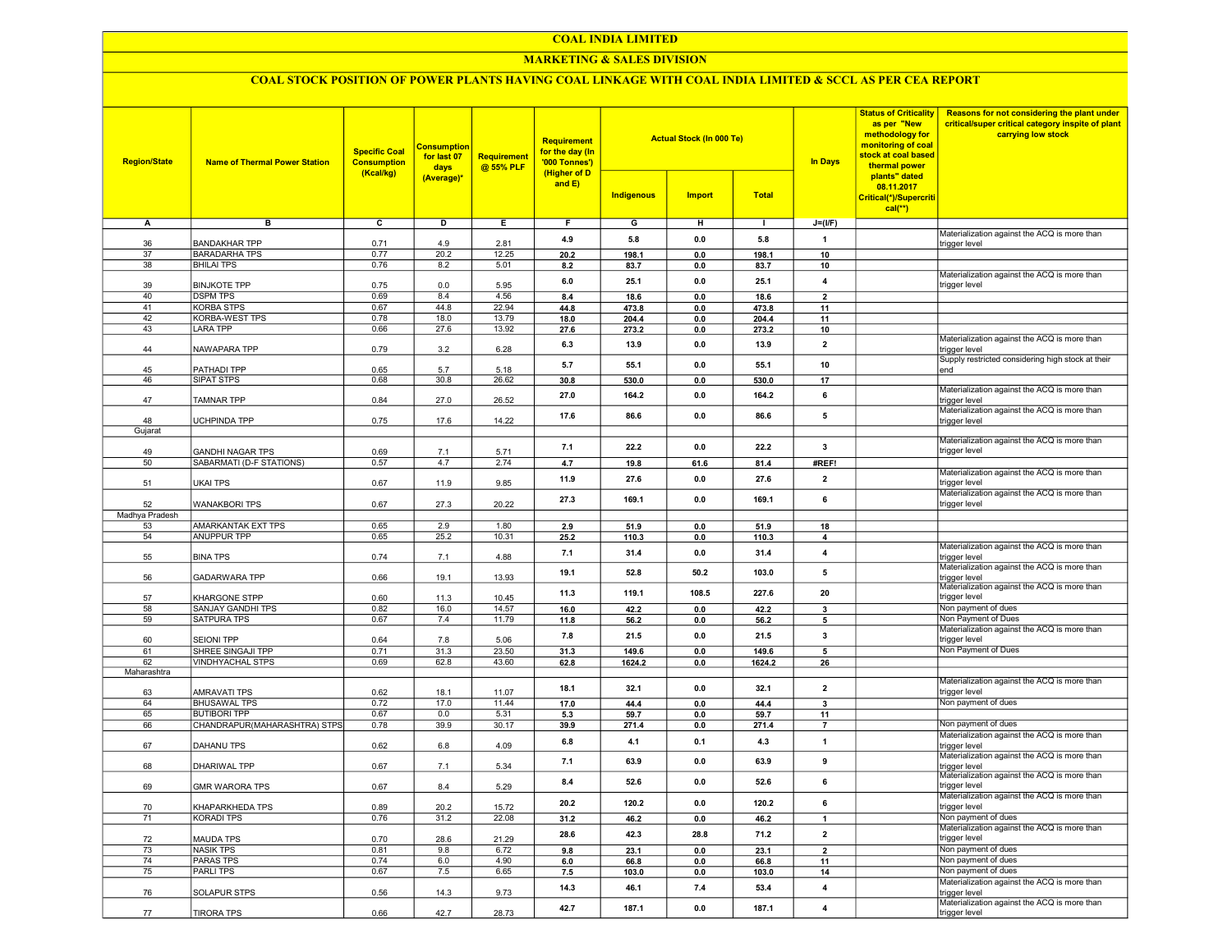#### COAL INDIA LIMITED

## MARKETING & SALES DIVISION

## COAL STOCK POSITION OF POWER PLANTS HAVING COAL LINKAGE WITH COAL INDIA LIMITED & SCCL AS PER CEA REPORT

| <b>Region/State</b> | <b>Name of Thermal Power Station</b> | <b>Specific Coal</b><br><b>Consumption</b><br>(Kcal/kg) | <b>Consumption</b><br>for last 07<br>days<br>(Average)* | <b>Requirement</b><br>@ 55% PLF | <b>Requirement</b><br>for the day (In<br>'000 Tonnes')<br>(Higher of D<br>and E) | <b>Actual Stock (In 000 Te)</b><br><b>Indigenous</b><br><b>Import</b><br><b>Total</b> |                | <b>In Days</b> | <b>Status of Criticality</b><br>as per "New<br>methodology for<br>monitoring of coal<br>stock at coal based<br>thermal power<br>plants" dated<br>08.11.2017<br>Critical(*)/Supercriti<br>$cal$ <sup>**</sup> ) | Reasons for not considering the plant under<br>critical/super critical category inspite of plant<br>carrying low stock |                                                                     |
|---------------------|--------------------------------------|---------------------------------------------------------|---------------------------------------------------------|---------------------------------|----------------------------------------------------------------------------------|---------------------------------------------------------------------------------------|----------------|----------------|----------------------------------------------------------------------------------------------------------------------------------------------------------------------------------------------------------------|------------------------------------------------------------------------------------------------------------------------|---------------------------------------------------------------------|
| А                   | в                                    | $\overline{c}$                                          | D                                                       | Е.                              | F.                                                                               | G                                                                                     | н              | $\blacksquare$ | $J=(I/F)$                                                                                                                                                                                                      |                                                                                                                        |                                                                     |
|                     |                                      |                                                         |                                                         |                                 |                                                                                  |                                                                                       |                |                |                                                                                                                                                                                                                |                                                                                                                        | Materialization against the ACQ is more than                        |
| 36                  | <b>BANDAKHAR TPP</b>                 | 0.71                                                    | 4.9                                                     | 2.81                            | 4.9                                                                              | 5.8                                                                                   | 0.0            | 5.8            | $\mathbf{1}$                                                                                                                                                                                                   |                                                                                                                        | trigger level                                                       |
| 37                  | <b>BARADARHA TPS</b>                 | 0.77                                                    | 20.2                                                    | 12.25                           | 20.2                                                                             | 198.1                                                                                 | 0.0            | 198.1          | 10                                                                                                                                                                                                             |                                                                                                                        |                                                                     |
| 38                  | <b>BHILAI TPS</b>                    | 0.76                                                    | 8.2                                                     | 5.01                            | 8.2                                                                              | 83.7                                                                                  | 0.0            | 83.7           | 10                                                                                                                                                                                                             |                                                                                                                        | Materialization against the ACQ is more than                        |
| 39                  | <b>BINJKOTE TPP</b>                  | 0.75                                                    | 0.0                                                     | 5.95                            | 6.0                                                                              | 25.1                                                                                  | 0.0            | 25.1           | $\overline{4}$                                                                                                                                                                                                 |                                                                                                                        | trigger level                                                       |
| 40                  | <b>DSPM TPS</b>                      | 0.69                                                    | 8.4                                                     | 4.56                            | 8.4                                                                              | 18.6                                                                                  | 0.0            | 18.6           | $\overline{\mathbf{2}}$                                                                                                                                                                                        |                                                                                                                        |                                                                     |
| 41                  | <b>KORBA STPS</b>                    | 0.67                                                    | 44.8                                                    | 22.94                           | 44.8                                                                             | 473.8                                                                                 | 0.0            | 473.8          | 11                                                                                                                                                                                                             |                                                                                                                        |                                                                     |
| 42                  | KORBA-WEST TPS                       | 0.78                                                    | 18.0                                                    | 13.79                           | 18.0                                                                             | 204.4                                                                                 | 0.0            | 204.4          | 11                                                                                                                                                                                                             |                                                                                                                        |                                                                     |
| 43                  | <b>LARA TPP</b>                      | 0.66                                                    | 27.6                                                    | 13.92                           | 27.6                                                                             | 273.2                                                                                 | 0.0            | 273.2          | 10                                                                                                                                                                                                             |                                                                                                                        |                                                                     |
| 44                  | NAWAPARA TPP                         | 0.79                                                    | 3.2                                                     | 6.28                            | 6.3                                                                              | 13.9                                                                                  | 0.0            | 13.9           | $\overline{2}$                                                                                                                                                                                                 |                                                                                                                        | Materialization against the ACQ is more than<br>trigger level       |
|                     |                                      |                                                         |                                                         |                                 |                                                                                  |                                                                                       |                |                |                                                                                                                                                                                                                |                                                                                                                        | Supply restricted considering high stock at their                   |
| 45                  | PATHADI TPP                          | 0.65                                                    | 5.7                                                     | 5.18                            | 5.7                                                                              | 55.1                                                                                  | 0.0            | 55.1           | 10                                                                                                                                                                                                             |                                                                                                                        | end                                                                 |
| 46                  | SIPAT STPS                           | 0.68                                                    | 30.8                                                    | 26.62                           | 30.8                                                                             | 530.0                                                                                 | 0.0            | 530.0          | 17                                                                                                                                                                                                             |                                                                                                                        |                                                                     |
|                     |                                      |                                                         |                                                         |                                 | 27.0                                                                             | 164.2                                                                                 | 0.0            | 164.2          | 6                                                                                                                                                                                                              |                                                                                                                        | Materialization against the ACQ is more than                        |
| 47                  | TAMNAR TPP                           | 0.84                                                    | 27.0                                                    | 26.52                           |                                                                                  |                                                                                       |                |                |                                                                                                                                                                                                                |                                                                                                                        | trigger level<br>Materialization against the ACQ is more than       |
| 48                  | UCHPINDA TPP                         | 0.75                                                    | 17.6                                                    | 14.22                           | 17.6                                                                             | 86.6                                                                                  | 0.0            | 86.6           | 5                                                                                                                                                                                                              |                                                                                                                        | trigger level                                                       |
| Gujarat             |                                      |                                                         |                                                         |                                 |                                                                                  |                                                                                       |                |                |                                                                                                                                                                                                                |                                                                                                                        |                                                                     |
|                     |                                      |                                                         |                                                         |                                 |                                                                                  | 22.2                                                                                  | 0.0            | 22.2           | $\overline{\mathbf{3}}$                                                                                                                                                                                        |                                                                                                                        | Materialization against the ACQ is more than                        |
| 49                  | <b>GANDHI NAGAR TPS</b>              | 0.69                                                    | 7.1                                                     | 5.71                            | 7.1                                                                              |                                                                                       |                |                |                                                                                                                                                                                                                |                                                                                                                        | trigger level                                                       |
| 50                  | SABARMATI (D-F STATIONS)             | 0.57                                                    | 4.7                                                     | 2.74                            | 4.7                                                                              | 19.8                                                                                  | 61.6           | 81.4           | #REF!                                                                                                                                                                                                          |                                                                                                                        | Materialization against the ACQ is more than                        |
| 51                  | <b>UKAI TPS</b>                      | 0.67                                                    | 11.9                                                    | 9.85                            | 11.9                                                                             | 27.6                                                                                  | 0.0            | 27.6           | $\overline{2}$                                                                                                                                                                                                 |                                                                                                                        | trigger level                                                       |
|                     |                                      |                                                         |                                                         |                                 |                                                                                  |                                                                                       |                |                |                                                                                                                                                                                                                |                                                                                                                        | Materialization against the ACQ is more than                        |
| 52                  | <b>WANAKBORI TPS</b>                 | 0.67                                                    | 27.3                                                    | 20.22                           | 27.3                                                                             | 169.1                                                                                 | 0.0            | 169.1          | 6                                                                                                                                                                                                              |                                                                                                                        | trigger level                                                       |
| Madhya Pradesh      |                                      |                                                         |                                                         |                                 |                                                                                  |                                                                                       |                |                |                                                                                                                                                                                                                |                                                                                                                        |                                                                     |
| 53                  | <b>AMARKANTAK EXT TPS</b>            | 0.65                                                    | 2.9                                                     | 1.80                            | 2.9                                                                              | 51.9                                                                                  | 0.0            | 51.9           | 18                                                                                                                                                                                                             |                                                                                                                        |                                                                     |
| 54                  | <b>ANUPPUR TPP</b>                   | 0.65                                                    | 25.2                                                    | 10.31                           | 25.2                                                                             | 110.3                                                                                 | 0.0            | 110.3          | 4                                                                                                                                                                                                              |                                                                                                                        |                                                                     |
| 55                  | <b>BINA TPS</b>                      | 0.74                                                    | 7.1                                                     | 4.88                            | 7.1                                                                              | 31.4                                                                                  | 0.0            | 31.4           | $\overline{4}$                                                                                                                                                                                                 |                                                                                                                        | Materialization against the ACQ is more than<br>trigger level       |
|                     |                                      |                                                         |                                                         |                                 |                                                                                  |                                                                                       |                |                |                                                                                                                                                                                                                |                                                                                                                        | Materialization against the ACQ is more than                        |
| 56                  | <b>GADARWARA TPP</b>                 | 0.66                                                    | 19.1                                                    | 13.93                           | 19.1                                                                             | 52.8                                                                                  | 50.2           | 103.0          | 5                                                                                                                                                                                                              |                                                                                                                        | trigger level                                                       |
|                     |                                      |                                                         |                                                         |                                 | 11.3                                                                             | 119.1                                                                                 | 108.5          | 227.6          | 20                                                                                                                                                                                                             |                                                                                                                        | Materialization against the ACQ is more than                        |
| 57                  | KHARGONE STPP                        | 0.60                                                    | 11.3                                                    | 10.45                           |                                                                                  |                                                                                       |                |                |                                                                                                                                                                                                                |                                                                                                                        | trigger level                                                       |
| 58                  | SANJAY GANDHI TPS                    | 0.82<br>0.67                                            | 16.0                                                    | 14.57                           | 16.0                                                                             | 42.2                                                                                  | 0.0            | 42.2           | 3                                                                                                                                                                                                              |                                                                                                                        | Non payment of dues<br>Non Payment of Dues                          |
| 59                  | SATPURA TPS                          |                                                         | 7.4                                                     | 11.79                           | 11.8                                                                             | 56.2                                                                                  | 0.0            | 56.2           | 5                                                                                                                                                                                                              |                                                                                                                        | Materialization against the ACQ is more than                        |
| 60                  | <b>SEIONI TPP</b>                    | 0.64                                                    | 7.8                                                     | 5.06                            | 7.8                                                                              | 21.5                                                                                  | 0.0            | 21.5           | 3                                                                                                                                                                                                              |                                                                                                                        | trigger level                                                       |
| 61                  | SHREE SINGAJI TPP                    | 0.71                                                    | 31.3                                                    | 23.50                           | 31.3                                                                             | 149.6                                                                                 | 0.0            | 149.6          | 5                                                                                                                                                                                                              |                                                                                                                        | Non Payment of Dues                                                 |
| 62                  | <b>VINDHYACHAL STPS</b>              | 0.69                                                    | 62.8                                                    | 43.60                           | 62.8                                                                             | 1624.2                                                                                | 0.0            | 1624.2         | 26                                                                                                                                                                                                             |                                                                                                                        |                                                                     |
| Maharashtra         |                                      |                                                         |                                                         |                                 |                                                                                  |                                                                                       |                |                |                                                                                                                                                                                                                |                                                                                                                        |                                                                     |
| 63                  | <b>AMRAVATI TPS</b>                  | 0.62                                                    | 18.1                                                    | 11.07                           | 18.1                                                                             | 32.1                                                                                  | 0.0            | 32.1           | $\overline{2}$                                                                                                                                                                                                 |                                                                                                                        | Materialization against the ACQ is more than<br>trigger level       |
| 64                  | <b>BHUSAWAL TPS</b>                  | 0.72                                                    | 17.0                                                    | 11.44                           | 17.0                                                                             | 44.4                                                                                  | 0.0            | 44.4           | $\mathbf{3}$                                                                                                                                                                                                   |                                                                                                                        | Non payment of dues                                                 |
| 65                  | <b>BUTIBORI TPP</b>                  | 0.67                                                    | 0.0                                                     | 5.31                            | 5.3                                                                              | 59.7                                                                                  | 0.0            | 59.7           | 11                                                                                                                                                                                                             |                                                                                                                        |                                                                     |
| 66                  | CHANDRAPUR(MAHARASHTRA) STPS         | 0.78                                                    | 39.9                                                    | 30.17                           | 39.9                                                                             | 271.4                                                                                 | 0.0            | 271.4          | $\overline{7}$                                                                                                                                                                                                 |                                                                                                                        | Non payment of dues                                                 |
|                     |                                      |                                                         |                                                         |                                 | 6.8                                                                              | 4.1                                                                                   | 0.1            | 4.3            | $\mathbf{1}$                                                                                                                                                                                                   |                                                                                                                        | Materialization against the ACQ is more than                        |
| 67                  | DAHANU TPS                           | 0.62                                                    | 6.8                                                     | 4.09                            |                                                                                  |                                                                                       |                |                |                                                                                                                                                                                                                |                                                                                                                        | trigger level                                                       |
| 68                  | DHARIWAL TPP                         | 0.67                                                    | 7.1                                                     | 5.34                            | 7.1                                                                              | 63.9                                                                                  | 0.0            | 63.9           | 9                                                                                                                                                                                                              |                                                                                                                        | Materialization against the ACQ is more than<br>trigger level       |
|                     |                                      |                                                         |                                                         |                                 |                                                                                  |                                                                                       |                |                |                                                                                                                                                                                                                |                                                                                                                        | Materialization against the ACQ is more than                        |
| 69                  | <b>GMR WARORA TPS</b>                | 0.67                                                    | 8.4                                                     | 5.29                            | 8.4                                                                              | 52.6                                                                                  | 0.0            | 52.6           | 6                                                                                                                                                                                                              |                                                                                                                        | trigger level                                                       |
|                     |                                      |                                                         |                                                         |                                 | 20.2                                                                             | 120.2                                                                                 | $\mathbf{0.0}$ | 120.2          | 6                                                                                                                                                                                                              |                                                                                                                        | Materialization against the ACQ is more than                        |
| 70                  | KHAPARKHEDA TPS                      | 0.89                                                    | 20.2                                                    | 15.72                           |                                                                                  |                                                                                       |                |                |                                                                                                                                                                                                                |                                                                                                                        | trigger level                                                       |
| 71                  | KORADI TPS                           | 0.76                                                    | 31.2                                                    | 22.08                           | 31.2                                                                             | 46.2                                                                                  | $\mathbf{0.0}$ | 46.2           | $\mathbf{1}$                                                                                                                                                                                                   |                                                                                                                        | Non payment of dues<br>Materialization against the ACQ is more than |
| 72                  | <b>MAUDA TPS</b>                     | 0.70                                                    | 28.6                                                    | 21.29                           | 28.6                                                                             | 42.3                                                                                  | 28.8           | 71.2           | $\overline{2}$                                                                                                                                                                                                 |                                                                                                                        | trigger level                                                       |
| 73                  | <b>NASIK TPS</b>                     | 0.81                                                    | 9.8                                                     | 6.72                            | 9.8                                                                              | 23.1                                                                                  | 0.0            | 23.1           | $\overline{2}$                                                                                                                                                                                                 |                                                                                                                        | Non payment of dues                                                 |
| 74                  | <b>PARAS TPS</b>                     | 0.74                                                    | 6.0                                                     | 4.90                            | 6.0                                                                              | 66.8                                                                                  | 0.0            | 66.8           | 11                                                                                                                                                                                                             |                                                                                                                        | Non payment of dues                                                 |
| 75                  | <b>PARLITPS</b>                      | 0.67                                                    | 7.5                                                     | 6.65                            | 7.5                                                                              | 103.0                                                                                 | 0.0            | 103.0          | 14                                                                                                                                                                                                             |                                                                                                                        | Non payment of dues                                                 |
|                     |                                      |                                                         |                                                         |                                 | 14.3                                                                             | 46.1                                                                                  | 7.4            | 53.4           | $\overline{\mathbf{4}}$                                                                                                                                                                                        |                                                                                                                        | Materialization against the ACQ is more than                        |
| 76                  | SOLAPUR STPS                         | 0.56                                                    | 14.3                                                    | 9.73                            |                                                                                  |                                                                                       |                |                |                                                                                                                                                                                                                |                                                                                                                        | trigger level<br>Materialization against the ACQ is more than       |
| 77                  | <b>TIRORA TPS</b>                    | 0.66                                                    | 42.7                                                    | 28.73                           | 42.7                                                                             | 187.1                                                                                 | 0.0            | 187.1          | $\overline{\mathbf{4}}$                                                                                                                                                                                        |                                                                                                                        | trigger level                                                       |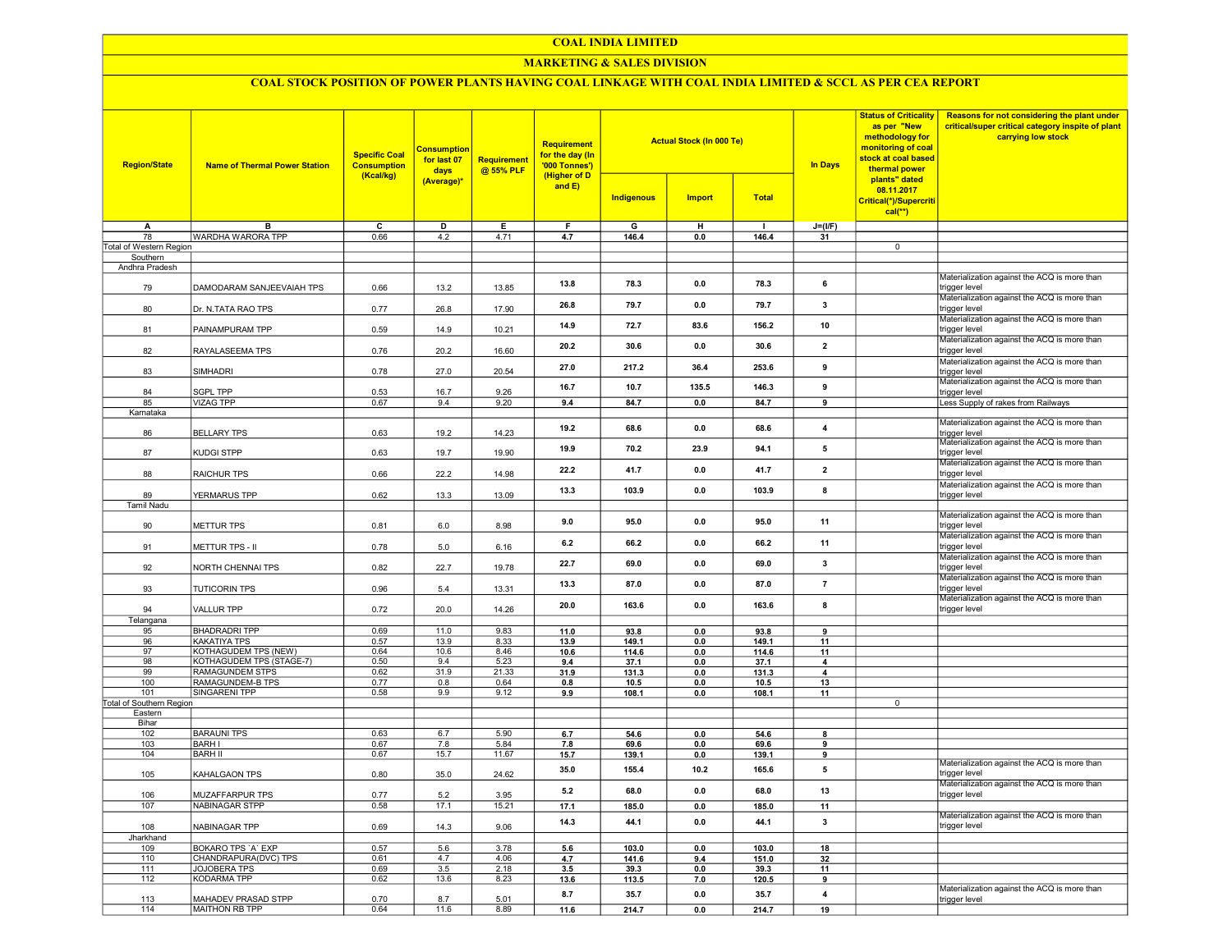#### COAL INDIA LIMITED

## MARKETING & SALES DIVISION

# COAL STOCK POSITION OF POWER PLANTS HAVING COAL LINKAGE WITH COAL INDIA LIMITED & SCCL AS PER CEA REPORT

| <b>Region/State</b>             | <b>Name of Thermal Power Station</b> | <b>Specific Coal</b><br><b>Consumption</b><br>(Kcal/kg) | <b>Consumption</b><br>for last 07<br>days<br>(Average)* | Requirement<br>@ 55% PLF | Requirement<br>for the day (In<br>'000 Tonnes')<br>(Higher of D |                   | <b>Actual Stock (In 000 Te)</b> |               | <b>Status of Criticality</b><br>as per "New<br>methodology for<br>monitoring of coal<br>stock at coal based<br><b>In Days</b><br>thermal power<br>plants" dated | Reasons for not considering the plant under<br>critical/super critical category inspite of plant<br>carrying low stock |                                                                                                               |
|---------------------------------|--------------------------------------|---------------------------------------------------------|---------------------------------------------------------|--------------------------|-----------------------------------------------------------------|-------------------|---------------------------------|---------------|-----------------------------------------------------------------------------------------------------------------------------------------------------------------|------------------------------------------------------------------------------------------------------------------------|---------------------------------------------------------------------------------------------------------------|
|                                 |                                      |                                                         |                                                         |                          | and $E$ )                                                       | <b>Indigenous</b> | <b>Import</b>                   | <b>Total</b>  |                                                                                                                                                                 | 08.11.2017<br>Critical(*)/Supercriti<br>$cal(**)$                                                                      |                                                                                                               |
| A                               | в                                    | с                                                       | D                                                       | Е                        | F.                                                              | G                 | н                               | $\mathbf{I}$  | $J=(I/F)$                                                                                                                                                       |                                                                                                                        |                                                                                                               |
| 78                              | WARDHA WARORA TPP                    | 0.66                                                    | 4.2                                                     | 4.71                     | 4.7                                                             | 146.4             | 0.0                             | 146.4         | 31                                                                                                                                                              |                                                                                                                        |                                                                                                               |
| Total of Western Region         |                                      |                                                         |                                                         |                          |                                                                 |                   |                                 |               |                                                                                                                                                                 | $\overline{0}$                                                                                                         |                                                                                                               |
| Southern                        |                                      |                                                         |                                                         |                          |                                                                 |                   |                                 |               |                                                                                                                                                                 |                                                                                                                        |                                                                                                               |
| Andhra Pradesh<br>79            | DAMODARAM SANJEEVAIAH TPS            | 0.66                                                    | 13.2                                                    | 13.85                    | 13.8                                                            | 78.3              | 0.0                             | 78.3          | 6                                                                                                                                                               |                                                                                                                        | Materialization against the ACQ is more than<br>trigger level                                                 |
| 80                              | Dr. N.TATA RAO TPS                   | 0.77                                                    | 26.8                                                    | 17.90                    | 26.8                                                            | 79.7              | 0.0                             | 79.7          | 3                                                                                                                                                               |                                                                                                                        | Materialization against the ACQ is more than<br>trigger level                                                 |
| 81                              | PAINAMPURAM TPP                      | 0.59                                                    | 14.9                                                    | 10.21                    | 14.9                                                            | 72.7              | 83.6                            | 156.2         | 10                                                                                                                                                              |                                                                                                                        | Materialization against the ACQ is more than<br>trigger level                                                 |
| 82                              | RAYALASEEMA TPS                      | 0.76                                                    | 20.2                                                    | 16.60                    | 20.2                                                            | 30.6              | 0.0                             | 30.6          | $\overline{\mathbf{2}}$                                                                                                                                         |                                                                                                                        | Materialization against the ACQ is more than<br>trigger level                                                 |
| 83                              | SIMHADRI                             | 0.78                                                    | 27.0                                                    | 20.54                    | 27.0                                                            | 217.2             | 36.4                            | 253.6         | 9                                                                                                                                                               |                                                                                                                        | Materialization against the ACQ is more than<br>trigger level                                                 |
| 84<br>85                        | <b>SGPL TPP</b><br><b>VIZAG TPP</b>  | 0.53<br>0.67                                            | 16.7<br>9.4                                             | 9.26<br>9.20             | 16.7<br>9.4                                                     | 10.7<br>84.7      | 135.5<br>0.0                    | 146.3<br>84.7 | 9<br>9                                                                                                                                                          |                                                                                                                        | Materialization against the ACQ is more than<br>trigger level<br>Less Supply of rakes from Railways           |
| Karnataka                       |                                      |                                                         |                                                         |                          |                                                                 |                   |                                 |               |                                                                                                                                                                 |                                                                                                                        |                                                                                                               |
| 86                              | <b>BELLARY TPS</b>                   | 0.63                                                    | 19.2                                                    | 14.23                    | 19.2                                                            | 68.6              | 0.0                             | 68.6          | 4                                                                                                                                                               |                                                                                                                        | Materialization against the ACQ is more than<br>rigger level                                                  |
| 87                              | KUDGI STPP                           | 0.63                                                    | 19.7                                                    | 19.90                    | 19.9                                                            | 70.2              | 23.9                            | 94.1          | 5                                                                                                                                                               |                                                                                                                        | Materialization against the ACQ is more than<br>trigger level                                                 |
| 88                              | RAICHUR TPS                          | 0.66                                                    | 22.2                                                    | 14.98                    | 22.2                                                            | 41.7              | 0.0                             | 41.7          | $\mathbf{2}$                                                                                                                                                    |                                                                                                                        | Materialization against the ACQ is more than<br>trigger level                                                 |
| 89                              | YERMARUS TPP                         | 0.62                                                    | 13.3                                                    | 13.09                    | 13.3                                                            | 103.9             | 0.0                             | 103.9         | 8                                                                                                                                                               |                                                                                                                        | Materialization against the ACQ is more than<br>trigger level                                                 |
| <b>Tamil Nadu</b><br>90         | METTUR TPS                           | 0.81                                                    | 6.0                                                     | 8.98                     | 9.0                                                             | 95.0              | 0.0                             | 95.0          | 11                                                                                                                                                              |                                                                                                                        | Materialization against the ACQ is more than<br>trigger level                                                 |
| 91                              | METTUR TPS - II                      | 0.78                                                    | 5.0                                                     | 6.16                     | 6.2                                                             | 66.2              | 0.0                             | 66.2          | 11                                                                                                                                                              |                                                                                                                        | Materialization against the ACQ is more than<br>trigger level                                                 |
| 92                              | NORTH CHENNAI TPS                    | 0.82                                                    | 22.7                                                    | 19.78                    | 22.7                                                            | 69.0              | 0.0                             | 69.0          | 3                                                                                                                                                               |                                                                                                                        | Materialization against the ACQ is more than<br>trigger level<br>Materialization against the ACQ is more than |
| 93                              | <b>TUTICORIN TPS</b>                 | 0.96                                                    | 5.4                                                     | 13.31                    | 13.3                                                            | 87.0              | 0.0                             | 87.0          | $\overline{7}$                                                                                                                                                  |                                                                                                                        | trigger level<br>Materialization against the ACQ is more than                                                 |
| 94                              | <b>VALLUR TPP</b>                    | 0.72                                                    | 20.0                                                    | 14.26                    | 20.0                                                            | 163.6             | 0.0                             | 163.6         | 8                                                                                                                                                               |                                                                                                                        | trigger level                                                                                                 |
| Telangana<br>95                 | <b>BHADRADRI TPP</b>                 | 0.69                                                    | 11.0                                                    | 9.83                     | 11.0                                                            | 93.8              | 0.0                             | 93.8          | 9                                                                                                                                                               |                                                                                                                        |                                                                                                               |
| 96                              | KAKATIYA TPS                         | 0.57                                                    | 13.9                                                    | 8.33                     | 13.9                                                            | 149.1             | 0.0                             | 149.1         | 11                                                                                                                                                              |                                                                                                                        |                                                                                                               |
| 97                              | KOTHAGUDEM TPS (NEW)                 | 0.64                                                    | 10.6                                                    | 8.46                     | 10.6                                                            | 114.6             | 0.0                             | 114.6         | 11                                                                                                                                                              |                                                                                                                        |                                                                                                               |
| 98                              | KOTHAGUDEM TPS (STAGE-7)             | 0.50                                                    | 9.4                                                     | 5.23                     | 9.4                                                             | 37.1              | 0.0                             | 37.1          | 4                                                                                                                                                               |                                                                                                                        |                                                                                                               |
| 99                              | <b>RAMAGUNDEM STPS</b>               | 0.62                                                    | 31.9                                                    | 21.33                    | 31.9                                                            | 131.3             | 0.0                             | 131.3         | 4                                                                                                                                                               |                                                                                                                        |                                                                                                               |
| 100                             | RAMAGUNDEM-B TPS                     | 0.77                                                    | 0.8                                                     | 0.64                     | 0.8                                                             | 10.5              | 0.0                             | 10.5          | 13                                                                                                                                                              |                                                                                                                        |                                                                                                               |
| 101<br>Total of Southern Region | <b>SINGARENI TPP</b>                 | 0.58                                                    | 9.9                                                     | 9.12                     | 9.9                                                             | 108.1             | 0.0                             | 108.1         | 11                                                                                                                                                              | $\overline{0}$                                                                                                         |                                                                                                               |
| Eastern                         |                                      |                                                         |                                                         |                          |                                                                 |                   |                                 |               |                                                                                                                                                                 |                                                                                                                        |                                                                                                               |
| Bihar                           |                                      |                                                         |                                                         |                          |                                                                 |                   |                                 |               |                                                                                                                                                                 |                                                                                                                        |                                                                                                               |
| 102                             | <b>BARAUNI TPS</b>                   | 0.63                                                    | 6.7                                                     | 5.90                     | 6.7                                                             | 54.6              | 0.0                             | 54.6          | 8                                                                                                                                                               |                                                                                                                        |                                                                                                               |
| 103                             | <b>BARH I</b>                        | 0.67                                                    | 7.8                                                     | 5.84                     | 7.8                                                             | 69.6              | 0.0                             | 69.6          | 9                                                                                                                                                               |                                                                                                                        |                                                                                                               |
| 104                             | <b>BARH II</b>                       | 0.67                                                    | 15.7                                                    | 11.67                    | 15.7                                                            | 139.1             | 0.0                             | 139.1         | 9                                                                                                                                                               |                                                                                                                        |                                                                                                               |
| 105                             | KAHALGAON TPS                        | 0.80                                                    | 35.0                                                    | 24.62                    | 35.0                                                            | 155.4             | 10.2                            | 165.6         | 5                                                                                                                                                               |                                                                                                                        | Materialization against the ACQ is more than<br>trigger level                                                 |
| 106                             | MUZAFFARPUR TPS                      | 0.77                                                    | 5.2                                                     | 3.95                     | 5.2                                                             | 68.0              | 0.0                             | 68.0          | 13                                                                                                                                                              |                                                                                                                        | Materialization against the ACQ is more than<br>trigger level                                                 |
| 107                             | <b>NABINAGAR STPP</b>                | 0.58                                                    | 17.1                                                    | 15.21                    | 17.1                                                            | 185.0             | 0.0                             | 185.0         | 11                                                                                                                                                              |                                                                                                                        | Materialization against the ACQ is more than                                                                  |
| 108<br>Jharkhand                | NABINAGAR TPP                        | 0.69                                                    | 14.3                                                    | 9.06                     | 14.3                                                            | 44.1              | 0.0                             | 44.1          | $\mathbf{3}$                                                                                                                                                    |                                                                                                                        | trigger level                                                                                                 |
| 109                             | <b>BOKARO TPS 'A' EXP</b>            | 0.57                                                    | 5.6                                                     | 3.78                     | 5.6                                                             | 103.0             | 0.0                             | 103.0         | 18                                                                                                                                                              |                                                                                                                        |                                                                                                               |
| 110                             | CHANDRAPURA(DVC) TPS                 | 0.61                                                    | 4.7                                                     | 4.06                     | 4.7                                                             | 141.6             | 9.4                             | 151.0         | 32                                                                                                                                                              |                                                                                                                        |                                                                                                               |
| 111                             | JOJOBERA TPS                         | 0.69                                                    | 3.5                                                     | 2.18                     | 3.5                                                             | 39.3              | 0.0                             | 39.3          | 11                                                                                                                                                              |                                                                                                                        |                                                                                                               |
| 112                             | <b>KODARMA TPP</b>                   | 0.62                                                    | 13.6                                                    | 8.23                     | 13.6                                                            | 113.5             | 7.0                             | 120.5         | 9                                                                                                                                                               |                                                                                                                        |                                                                                                               |
| 113                             | MAHADEV PRASAD STPP                  | 0.70                                                    | 8.7                                                     | 5.01                     | 8.7                                                             | 35.7              | 0.0                             | 35.7          | 4                                                                                                                                                               |                                                                                                                        | Materialization against the ACQ is more than<br>trigger level                                                 |
| 114                             | MAITHON RB TPP                       | 0.64                                                    | 11.6                                                    | 8.89                     | 11.6                                                            | 214.7             | 0.0                             | 214.7         | 19                                                                                                                                                              |                                                                                                                        |                                                                                                               |